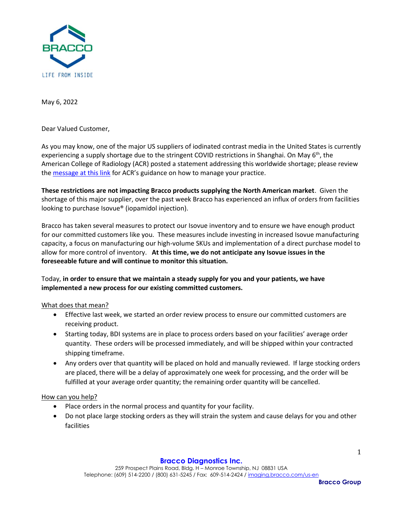

May 6, 2022

Dear Valued Customer,

As you may know, one of the major US suppliers of iodinated contrast media in the United States is currently experiencing a supply shortage due to the stringent COVID restrictions in Shanghai. On May  $6<sup>th</sup>$ , the American College of Radiology (ACR) posted a statement addressing this worldwide shortage; please review the [message at this link](https://www.acr.org/Advocacy-and-Economics/ACR-Position-Statements/Contrast-Media-Shortage) for ACR's guidance on how to manage your practice.

**These restrictions are not impacting Bracco products supplying the North American market**. Given the shortage of this major supplier, over the past week Bracco has experienced an influx of orders from facilities looking to purchase Isovue® (iopamidol injection).

Bracco has taken several measures to protect our Isovue inventory and to ensure we have enough product for our committed customers like you. These measures include investing in increased Isovue manufacturing capacity, a focus on manufacturing our high-volume SKUs and implementation of a direct purchase model to allow for more control of inventory. **At this time, we do not anticipate any Isovue issues in the foreseeable future and will continue to monitor this situation.**

# Today, **in order to ensure that we maintain a steady supply for you and your patients, we have implemented a new process for our existing committed customers.**

What does that mean?

- Effective last week, we started an order review process to ensure our committed customers are receiving product.
- Starting today, BDI systems are in place to process orders based on your facilities' average order quantity. These orders will be processed immediately, and will be shipped within your contracted shipping timeframe.
- Any orders over that quantity will be placed on hold and manually reviewed. If large stocking orders are placed, there will be a delay of approximately one week for processing, and the order will be fulfilled at your average order quantity; the remaining order quantity will be cancelled.

# How can you help?

- Place orders in the normal process and quantity for your facility.
- Do not place large stocking orders as they will strain the system and cause delays for you and other facilities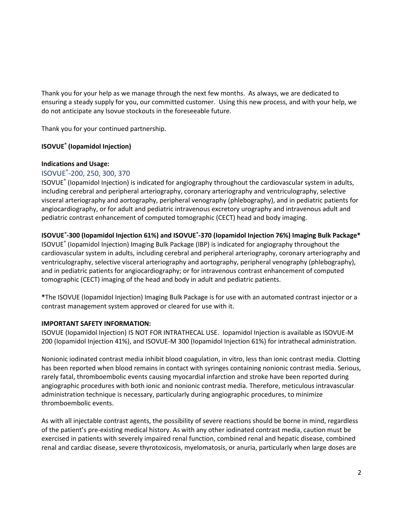Thank you for your help as we manage through the next few months. As always, we are dedicated to ensuring a steady supply for you, our committed customer. Using this new process, and with your help, we do not anticipate any Isovue stockouts in the foreseeable future.

Thank you for your continued partnership.

### **ISOVUE® (Iopamidol Injection)**

#### **Indications and Usage:**

# ISOVUE® -200, 250, 300, 370

ISOVUE<sup>®</sup> (Iopamidol Injection) is indicated for angiography throughout the cardiovascular system in adults, including cerebral and peripheral arteriography, coronary arteriography and ventriculography, selective visceral arteriography and aortography, peripheral venography (phlebography), and in pediatric patients for angiocardiography, or for adult and pediatric intravenous excretory urography and intravenous adult and pediatric contrast enhancement of computed tomographic (CECT) head and body imaging.

### **ISOVUE® -300 (Iopamidol Injection 61%) and ISOVUE® -370 (Iopamidol Injection 76%) Imaging Bulk Package\***

ISOVUE® (Iopamidol Injection) Imaging Bulk Package (IBP) is indicated for angiography throughout the cardiovascular system in adults, including cerebral and peripheral arteriography, coronary arteriography and ventriculography, selective visceral arteriography and aortography, peripheral venography (phlebography), and in pediatric patients for angiocardiography; or for intravenous contrast enhancement of computed tomographic (CECT) imaging of the head and body in adult and pediatric patients.

**\***The ISOVUE (Iopamidol Injection) Imaging Bulk Package is for use with an automated contrast injector or a contrast management system approved or cleared for use with it.

#### **IMPORTANT SAFETY INFORMATION:**

ISOVUE (Iopamidol Injection) IS NOT FOR INTRATHECAL USE. Iopamidol Injection is available as ISOVUE-M 200 (Iopamidol Injection 41%), and ISOVUE-M 300 (Iopamidol Injection 61%) for intrathecal administration.

Nonionic iodinated contrast media inhibit blood coagulation, in vitro, less than ionic contrast media. Clotting has been reported when blood remains in contact with syringes containing nonionic contrast media. Serious, rarely fatal, thromboembolic events causing myocardial infarction and stroke have been reported during angiographic procedures with both ionic and nonionic contrast media. Therefore, meticulous intravascular administration technique is necessary, particularly during angiographic procedures, to minimize thromboembolic events.

As with all injectable contrast agents, the possibility of severe reactions should be borne in mind, regardless of the patient's pre-existing medical history. As with any other iodinated contrast media, caution must be exercised in patients with severely impaired renal function, combined renal and hepatic disease, combined renal and cardiac disease, severe thyrotoxicosis, myelomatosis, or anuria, particularly when large doses are